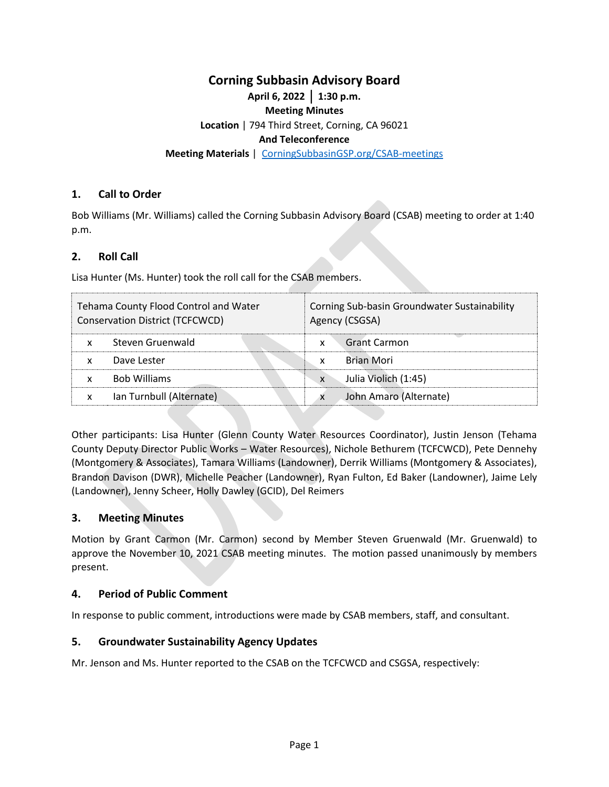# **Corning Subbasin Advisory Board**

**April 6, 2022** │ **1:30 p.m.**

#### **Meeting Minutes**

**Location** | 794 Third Street, Corning, CA 96021

### **And Teleconference**

**Meeting Materials** | [CorningSubbasinGSP.org/CSAB-meetings](https://www.corningsubbasingsp.org/csab-meetings)

## **1. Call to Order**

Bob Williams (Mr. Williams) called the Corning Subbasin Advisory Board (CSAB) meeting to order at 1:40 p.m.

## **2. Roll Call**

Lisa Hunter (Ms. Hunter) took the roll call for the CSAB members.

| Tehama County Flood Control and Water | Corning Sub-basin Groundwater Sustainability |
|---------------------------------------|----------------------------------------------|
| Conservation District (TCFCWCD)       | Agency (CSGSA)                               |
| Steven Gruenwald                      | <b>Grant Carmon</b>                          |
| x                                     | x                                            |
| Dave Lester                           | Brian Mori                                   |
| x                                     | x                                            |
| <b>Bob Williams</b>                   | Julia Violich (1:45)                         |
| x                                     | $\mathsf{x}$                                 |
| Ian Turnbull (Alternate)              | John Amaro (Alternate)                       |
| x                                     | x                                            |

Other participants: Lisa Hunter (Glenn County Water Resources Coordinator), Justin Jenson (Tehama County Deputy Director Public Works – Water Resources), Nichole Bethurem (TCFCWCD), Pete Dennehy (Montgomery & Associates), Tamara Williams (Landowner), Derrik Williams (Montgomery & Associates), Brandon Davison (DWR), Michelle Peacher (Landowner), Ryan Fulton, Ed Baker (Landowner), Jaime Lely (Landowner), Jenny Scheer, Holly Dawley (GCID), Del Reimers

## **3. Meeting Minutes**

Motion by Grant Carmon (Mr. Carmon) second by Member Steven Gruenwald (Mr. Gruenwald) to approve the November 10, 2021 CSAB meeting minutes. The motion passed unanimously by members present.

#### **4. Period of Public Comment**

In response to public comment, introductions were made by CSAB members, staff, and consultant.

## **5. Groundwater Sustainability Agency Updates**

Mr. Jenson and Ms. Hunter reported to the CSAB on the TCFCWCD and CSGSA, respectively: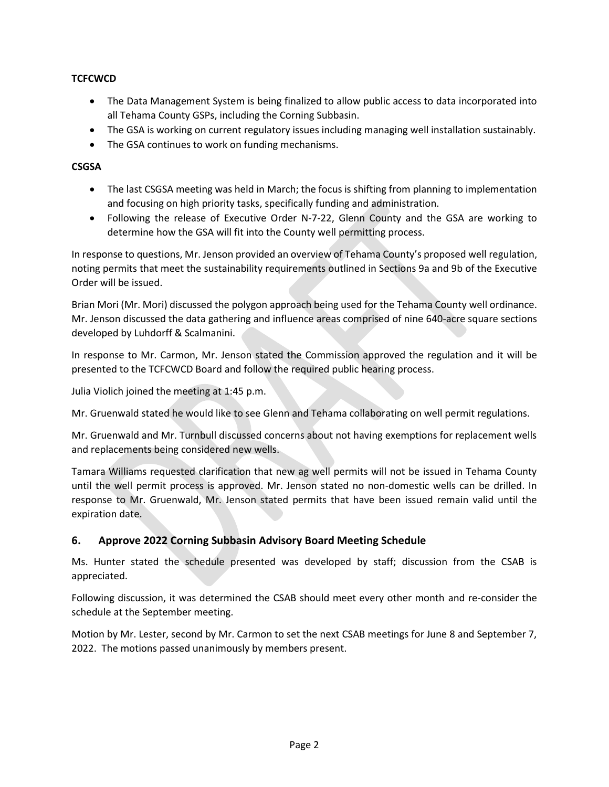# **TCFCWCD**

- The Data Management System is being finalized to allow public access to data incorporated into all Tehama County GSPs, including the Corning Subbasin.
- The GSA is working on current regulatory issues including managing well installation sustainably.
- The GSA continues to work on funding mechanisms.

# **CSGSA**

- The last CSGSA meeting was held in March; the focus is shifting from planning to implementation and focusing on high priority tasks, specifically funding and administration.
- Following the release of Executive Order N-7-22, Glenn County and the GSA are working to determine how the GSA will fit into the County well permitting process.

In response to questions, Mr. Jenson provided an overview of Tehama County's proposed well regulation, noting permits that meet the sustainability requirements outlined in Sections 9a and 9b of the Executive Order will be issued.

Brian Mori (Mr. Mori) discussed the polygon approach being used for the Tehama County well ordinance. Mr. Jenson discussed the data gathering and influence areas comprised of nine 640-acre square sections developed by Luhdorff & Scalmanini.

In response to Mr. Carmon, Mr. Jenson stated the Commission approved the regulation and it will be presented to the TCFCWCD Board and follow the required public hearing process.

Julia Violich joined the meeting at 1:45 p.m.

Mr. Gruenwald stated he would like to see Glenn and Tehama collaborating on well permit regulations.

Mr. Gruenwald and Mr. Turnbull discussed concerns about not having exemptions for replacement wells and replacements being considered new wells.

Tamara Williams requested clarification that new ag well permits will not be issued in Tehama County until the well permit process is approved. Mr. Jenson stated no non-domestic wells can be drilled. In response to Mr. Gruenwald, Mr. Jenson stated permits that have been issued remain valid until the expiration date.

# **6. Approve 2022 Corning Subbasin Advisory Board Meeting Schedule**

Ms. Hunter stated the schedule presented was developed by staff; discussion from the CSAB is appreciated.

Following discussion, it was determined the CSAB should meet every other month and re-consider the schedule at the September meeting.

Motion by Mr. Lester, second by Mr. Carmon to set the next CSAB meetings for June 8 and September 7, 2022. The motions passed unanimously by members present.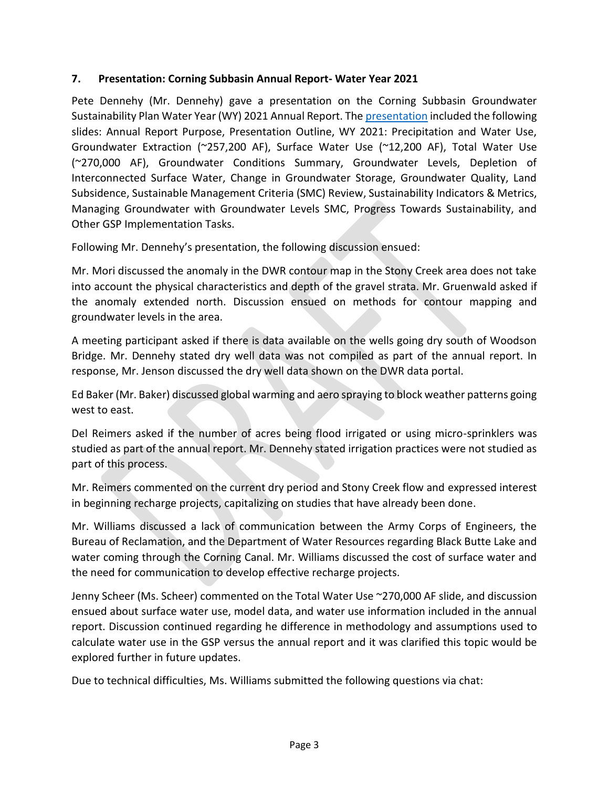# **7. Presentation: Corning Subbasin Annual Report- Water Year 2021**

Pete Dennehy (Mr. Dennehy) gave a presentation on the Corning Subbasin Groundwater Sustainability Plan Water Year (WY) 2021 Annual Report. Th[e presentation](https://www.corningsubbasingsp.org/_files/ugd/c88b6b_6ae18586c2494906a8acbc7e7179da43.pdf) included the following slides: Annual Report Purpose, Presentation Outline, WY 2021: Precipitation and Water Use, Groundwater Extraction (~257,200 AF), Surface Water Use (~12,200 AF), Total Water Use (~270,000 AF), Groundwater Conditions Summary, Groundwater Levels, Depletion of Interconnected Surface Water, Change in Groundwater Storage, Groundwater Quality, Land Subsidence, Sustainable Management Criteria (SMC) Review, Sustainability Indicators & Metrics, Managing Groundwater with Groundwater Levels SMC, Progress Towards Sustainability, and Other GSP Implementation Tasks.

Following Mr. Dennehy's presentation, the following discussion ensued:

Mr. Mori discussed the anomaly in the DWR contour map in the Stony Creek area does not take into account the physical characteristics and depth of the gravel strata. Mr. Gruenwald asked if the anomaly extended north. Discussion ensued on methods for contour mapping and groundwater levels in the area.

A meeting participant asked if there is data available on the wells going dry south of Woodson Bridge. Mr. Dennehy stated dry well data was not compiled as part of the annual report. In response, Mr. Jenson discussed the dry well data shown on the DWR data portal.

Ed Baker (Mr. Baker) discussed global warming and aero spraying to block weather patterns going west to east.

Del Reimers asked if the number of acres being flood irrigated or using micro-sprinklers was studied as part of the annual report. Mr. Dennehy stated irrigation practices were not studied as part of this process.

Mr. Reimers commented on the current dry period and Stony Creek flow and expressed interest in beginning recharge projects, capitalizing on studies that have already been done.

Mr. Williams discussed a lack of communication between the Army Corps of Engineers, the Bureau of Reclamation, and the Department of Water Resources regarding Black Butte Lake and water coming through the Corning Canal. Mr. Williams discussed the cost of surface water and the need for communication to develop effective recharge projects.

Jenny Scheer (Ms. Scheer) commented on the Total Water Use ~270,000 AF slide, and discussion ensued about surface water use, model data, and water use information included in the annual report. Discussion continued regarding he difference in methodology and assumptions used to calculate water use in the GSP versus the annual report and it was clarified this topic would be explored further in future updates.

Due to technical difficulties, Ms. Williams submitted the following questions via chat: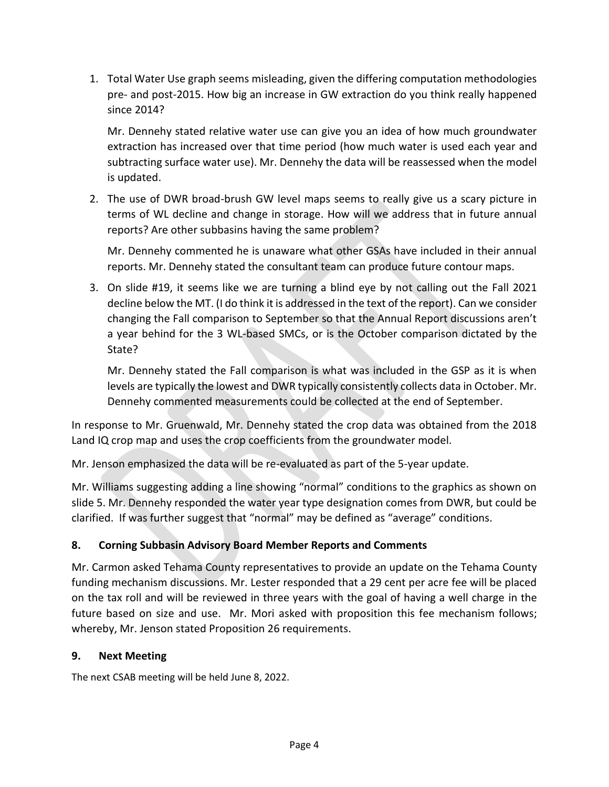1. Total Water Use graph seems misleading, given the differing computation methodologies pre- and post-2015. How big an increase in GW extraction do you think really happened since 2014?

Mr. Dennehy stated relative water use can give you an idea of how much groundwater extraction has increased over that time period (how much water is used each year and subtracting surface water use). Mr. Dennehy the data will be reassessed when the model is updated.

2. The use of DWR broad-brush GW level maps seems to really give us a scary picture in terms of WL decline and change in storage. How will we address that in future annual reports? Are other subbasins having the same problem?

Mr. Dennehy commented he is unaware what other GSAs have included in their annual reports. Mr. Dennehy stated the consultant team can produce future contour maps.

3. On slide #19, it seems like we are turning a blind eye by not calling out the Fall 2021 decline below the MT. (I do think it is addressed in the text of the report). Can we consider changing the Fall comparison to September so that the Annual Report discussions aren't a year behind for the 3 WL-based SMCs, or is the October comparison dictated by the State?

Mr. Dennehy stated the Fall comparison is what was included in the GSP as it is when levels are typically the lowest and DWR typically consistently collects data in October. Mr. Dennehy commented measurements could be collected at the end of September.

In response to Mr. Gruenwald, Mr. Dennehy stated the crop data was obtained from the 2018 Land IQ crop map and uses the crop coefficients from the groundwater model.

Mr. Jenson emphasized the data will be re-evaluated as part of the 5-year update.

Mr. Williams suggesting adding a line showing "normal" conditions to the graphics as shown on slide 5. Mr. Dennehy responded the water year type designation comes from DWR, but could be clarified. If was further suggest that "normal" may be defined as "average" conditions.

# **8. Corning Subbasin Advisory Board Member Reports and Comments**

Mr. Carmon asked Tehama County representatives to provide an update on the Tehama County funding mechanism discussions. Mr. Lester responded that a 29 cent per acre fee will be placed on the tax roll and will be reviewed in three years with the goal of having a well charge in the future based on size and use. Mr. Mori asked with proposition this fee mechanism follows; whereby, Mr. Jenson stated Proposition 26 requirements.

# **9. Next Meeting**

The next CSAB meeting will be held June 8, 2022.